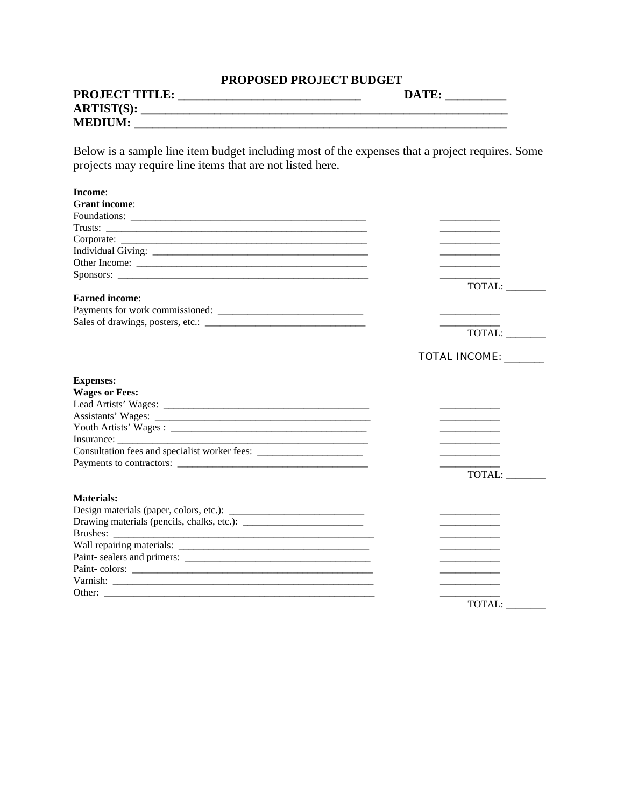## **PROPOSED PROJECT BUDGET**

| <b>PROJECT TITLE:</b> | DATE. |
|-----------------------|-------|
| <b>ARTIST(S):</b>     |       |
| <b>MEDIUM:</b>        |       |

Below is a sample line item budget including most of the expenses that a project requires. Some projects may require line items that are not listed here.

| Income:               |                          |
|-----------------------|--------------------------|
| <b>Grant</b> income:  |                          |
|                       |                          |
|                       |                          |
|                       | <b>Contract Contract</b> |
|                       |                          |
|                       |                          |
|                       |                          |
|                       | TOTAL:                   |
| <b>Earned</b> income: |                          |
|                       |                          |
|                       |                          |
|                       | TOTAL:                   |
|                       | <b>TOTAL INCOME:</b>     |
| <b>Expenses:</b>      |                          |
| <b>Wages or Fees:</b> |                          |
|                       |                          |
|                       |                          |
|                       |                          |
|                       |                          |
|                       |                          |
|                       |                          |
|                       | TOTAL:                   |
| Materials:            |                          |
|                       |                          |
|                       |                          |
|                       |                          |
|                       |                          |
|                       |                          |
|                       |                          |
|                       |                          |
|                       |                          |
|                       | TOTAL:                   |